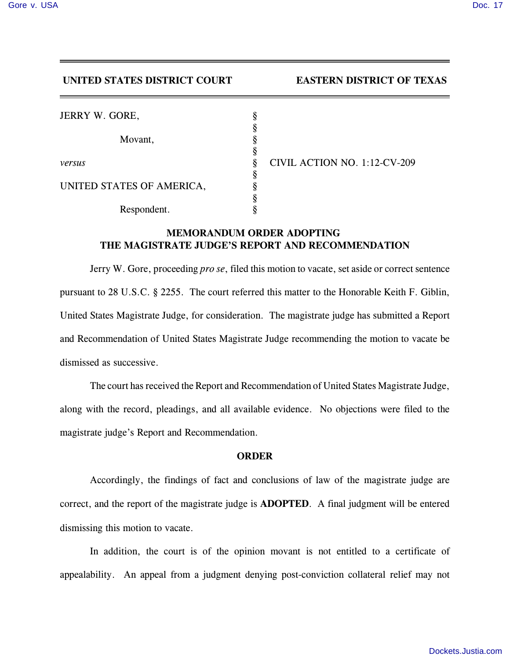## **UNITED STATES DISTRICT COURT EASTERN DISTRICT OF TEXAS**

| JERRY W. GORE,            | δ |                              |
|---------------------------|---|------------------------------|
|                           |   |                              |
| Movant,                   |   |                              |
| versus                    |   | CIVIL ACTION NO. 1:12-CV-209 |
|                           | O |                              |
| UNITED STATES OF AMERICA, |   |                              |
|                           |   |                              |
| Respondent.               |   |                              |

## **MEMORANDUM ORDER ADOPTING THE MAGISTRATE JUDGE'S REPORT AND RECOMMENDATION**

Jerry W. Gore, proceeding *pro se*, filed this motion to vacate, set aside or correct sentence pursuant to 28 U.S.C. § 2255. The court referred this matter to the Honorable Keith F. Giblin, United States Magistrate Judge, for consideration. The magistrate judge has submitted a Report and Recommendation of United States Magistrate Judge recommending the motion to vacate be dismissed as successive.

The court has received the Report and Recommendation of United States Magistrate Judge, along with the record, pleadings, and all available evidence. No objections were filed to the magistrate judge's Report and Recommendation.

## **ORDER**

Accordingly, the findings of fact and conclusions of law of the magistrate judge are correct, and the report of the magistrate judge is **ADOPTED**. A final judgment will be entered dismissing this motion to vacate.

In addition, the court is of the opinion movant is not entitled to a certificate of appealability. An appeal from a judgment denying post-conviction collateral relief may not